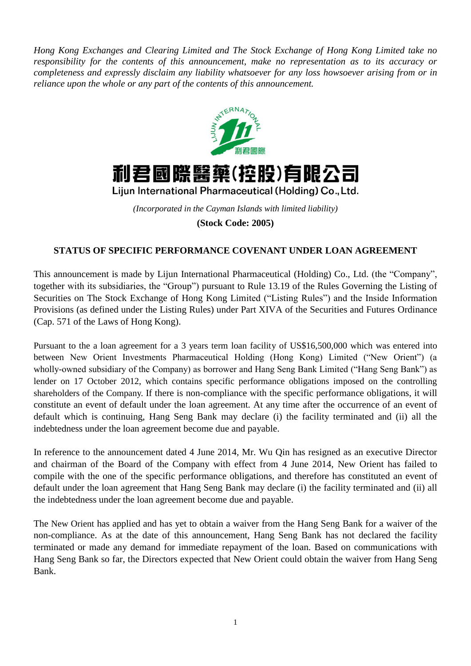*Hong Kong Exchanges and Clearing Limited and The Stock Exchange of Hong Kong Limited take no responsibility for the contents of this announcement, make no representation as to its accuracy or completeness and expressly disclaim any liability whatsoever for any loss howsoever arising from or in reliance upon the whole or any part of the contents of this announcement.*





Lijun International Pharmaceutical (Holding) Co., Ltd.

*(Incorporated in the Cayman Islands with limited liability)* **(Stock Code: 2005)**

## **STATUS OF SPECIFIC PERFORMANCE COVENANT UNDER LOAN AGREEMENT**

This announcement is made by Lijun International Pharmaceutical (Holding) Co., Ltd. (the "Company", together with its subsidiaries, the "Group") pursuant to Rule 13.19 of the Rules Governing the Listing of Securities on The Stock Exchange of Hong Kong Limited ("Listing Rules") and the Inside Information Provisions (as defined under the Listing Rules) under Part XIVA of the Securities and Futures Ordinance (Cap. 571 of the Laws of Hong Kong).

Pursuant to the a loan agreement for a 3 years term loan facility of US\$16,500,000 which was entered into between New Orient Investments Pharmaceutical Holding (Hong Kong) Limited ("New Orient") (a wholly-owned subsidiary of the Company) as borrower and Hang Seng Bank Limited ("Hang Seng Bank") as lender on 17 October 2012, which contains specific performance obligations imposed on the controlling shareholders of the Company. If there is non-compliance with the specific performance obligations, it will constitute an event of default under the loan agreement. At any time after the occurrence of an event of default which is continuing, Hang Seng Bank may declare (i) the facility terminated and (ii) all the indebtedness under the loan agreement become due and payable.

In reference to the announcement dated 4 June 2014, Mr. Wu Qin has resigned as an executive Director and chairman of the Board of the Company with effect from 4 June 2014, New Orient has failed to compile with the one of the specific performance obligations, and therefore has constituted an event of default under the loan agreement that Hang Seng Bank may declare (i) the facility terminated and (ii) all the indebtedness under the loan agreement become due and payable.

The New Orient has applied and has yet to obtain a waiver from the Hang Seng Bank for a waiver of the non-compliance. As at the date of this announcement, Hang Seng Bank has not declared the facility terminated or made any demand for immediate repayment of the loan. Based on communications with Hang Seng Bank so far, the Directors expected that New Orient could obtain the waiver from Hang Seng Bank.